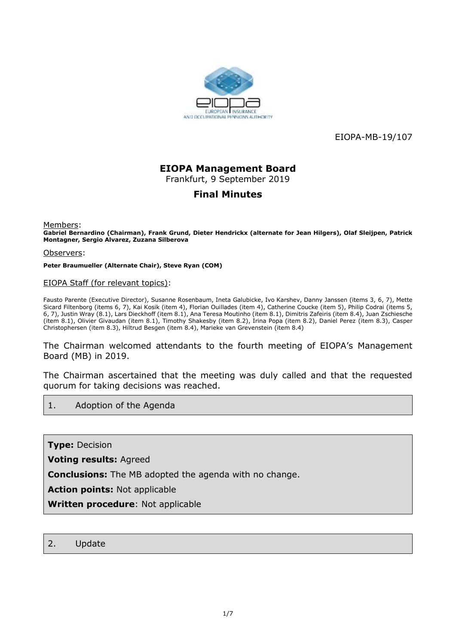

EIOPA-MB-19/107

# **EIOPA Management Board**

Frankfurt, 9 September 2019

### **Final Minutes**

Members:

**Gabriel Bernardino (Chairman), Frank Grund, Dieter Hendrickx (alternate for Jean Hilgers), Olaf Sleijpen, Patrick Montagner, Sergio Alvarez, Zuzana Silberova**

Observers:

**Peter Braumueller (Alternate Chair), Steve Ryan (COM)**

#### EIOPA Staff (for relevant topics):

Fausto Parente (Executive Director), Susanne Rosenbaum, Ineta Galubicke, Ivo Karshev, Danny Janssen (items 3, 6, 7), Mette Sicard Filtenborg (items 6, 7), Kai Kosik (item 4), Florian Ouillades (item 4), Catherine Coucke (item 5), Philip Codrai (items 5, 6, 7), Justin Wray (8.1), Lars Dieckhoff (item 8.1), Ana Teresa Moutinho (item 8.1), Dimitris Zafeiris (item 8.4), Juan Zschiesche (item 8.1), Olivier Givaudan (item 8.1), Timothy Shakesby (item 8.2), Irina Popa (item 8.2), Daniel Perez (item 8.3), Casper Christophersen (item 8.3), Hiltrud Besgen (item 8.4), Marieke van Grevenstein (item 8.4)

The Chairman welcomed attendants to the fourth meeting of EIOPA's Management Board (MB) in 2019.

The Chairman ascertained that the meeting was duly called and that the requested quorum for taking decisions was reached.

#### 1. Adoption of the Agenda

**Type:** Decision

**Voting results:** Agreed

**Conclusions:** The MB adopted the agenda with no change.

**Action points:** Not applicable

**Written procedure**: Not applicable

#### 2. Update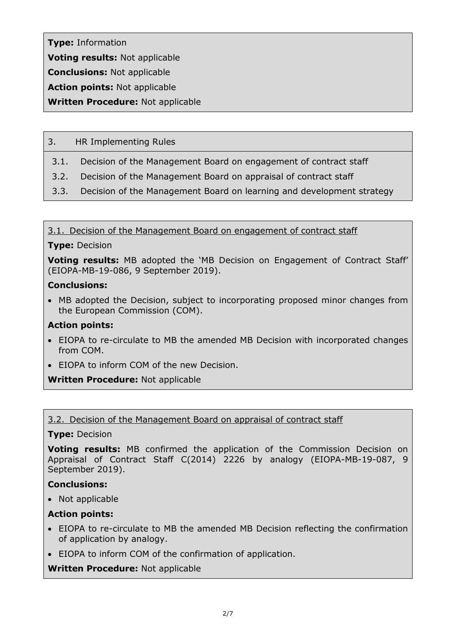**Type:** Information **Voting results:** Not applicable **Conclusions:** Not applicable

**Action points:** Not applicable

**Written Procedure:** Not applicable

### 3. HR Implementing Rules

- 3.1. Decision of the Management Board on engagement of contract staff
- 3.2. Decision of the Management Board on appraisal of contract staff
- 3.3. Decision of the Management Board on learning and development strategy

3.1. Decision of the Management Board on engagement of contract staff

### **Type:** Decision

**Voting results:** MB adopted the 'MB Decision on Engagement of Contract Staff' (EIOPA-MB-19-086, 9 September 2019).

### **Conclusions:**

 MB adopted the Decision, subject to incorporating proposed minor changes from the European Commission (COM).

### **Action points:**

- EIOPA to re-circulate to MB the amended MB Decision with incorporated changes from COM.
- EIOPA to inform COM of the new Decision.

### **Written Procedure:** Not applicable

### 3.2. Decision of the Management Board on appraisal of contract staff

### **Type:** Decision

**Voting results:** MB confirmed the application of the Commission Decision on Appraisal of Contract Staff C(2014) 2226 by analogy (EIOPA-MB-19-087, 9 September 2019).

### **Conclusions:**

• Not applicable

### **Action points:**

- EIOPA to re-circulate to MB the amended MB Decision reflecting the confirmation of application by analogy.
- EIOPA to inform COM of the confirmation of application.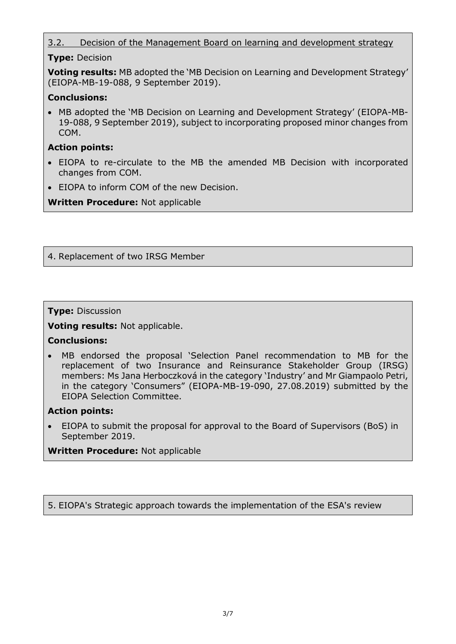### 3.2. Decision of the Management Board on learning and development strategy

#### **Type:** Decision

**Voting results:** MB adopted the 'MB Decision on Learning and Development Strategy' (EIOPA-MB-19-088, 9 September 2019).

### **Conclusions:**

 MB adopted the 'MB Decision on Learning and Development Strategy' (EIOPA-MB-19-088, 9 September 2019), subject to incorporating proposed minor changes from COM.

### **Action points:**

- EIOPA to re-circulate to the MB the amended MB Decision with incorporated changes from COM.
- EIOPA to inform COM of the new Decision.

**Written Procedure:** Not applicable

### 4. Replacement of two IRSG Member

#### **Type:** Discussion

**Voting results:** Not applicable.

#### **Conclusions:**

 MB endorsed the proposal 'Selection Panel recommendation to MB for the replacement of two Insurance and Reinsurance Stakeholder Group (IRSG) members: Ms Jana Herboczková in the category 'Industry' and Mr Giampaolo Petri, in the category 'Consumers" (EIOPA-MB-19-090, 27.08.2019) submitted by the EIOPA Selection Committee.

#### **Action points:**

 EIOPA to submit the proposal for approval to the Board of Supervisors (BoS) in September 2019.

**Written Procedure:** Not applicable

5. EIOPA's Strategic approach towards the implementation of the ESA's review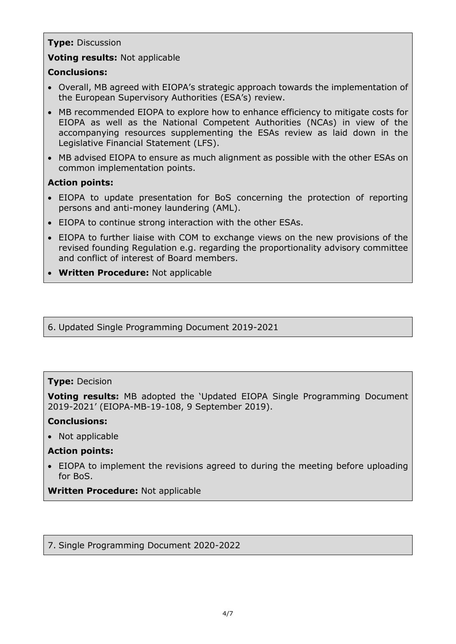#### **Type:** Discussion

### **Voting results:** Not applicable

#### **Conclusions:**

- Overall, MB agreed with EIOPA's strategic approach towards the implementation of the European Supervisory Authorities (ESA's) review.
- MB recommended EIOPA to explore how to enhance efficiency to mitigate costs for EIOPA as well as the National Competent Authorities (NCAs) in view of the accompanying resources supplementing the ESAs review as laid down in the Legislative Financial Statement (LFS).
- MB advised EIOPA to ensure as much alignment as possible with the other ESAs on common implementation points.

### **Action points:**

- EIOPA to update presentation for BoS concerning the protection of reporting persons and anti-money laundering (AML).
- EIOPA to continue strong interaction with the other ESAs.
- EIOPA to further liaise with COM to exchange views on the new provisions of the revised founding Regulation e.g. regarding the proportionality advisory committee and conflict of interest of Board members.
- **Written Procedure:** Not applicable

6. Updated Single Programming Document 2019-2021

#### **Type:** Decision

**Voting results:** MB adopted the 'Updated EIOPA Single Programming Document 2019-2021' (EIOPA-MB-19-108, 9 September 2019).

#### **Conclusions:**

• Not applicable

#### **Action points:**

 EIOPA to implement the revisions agreed to during the meeting before uploading for BoS.

#### **Written Procedure:** Not applicable

7. Single Programming Document 2020-2022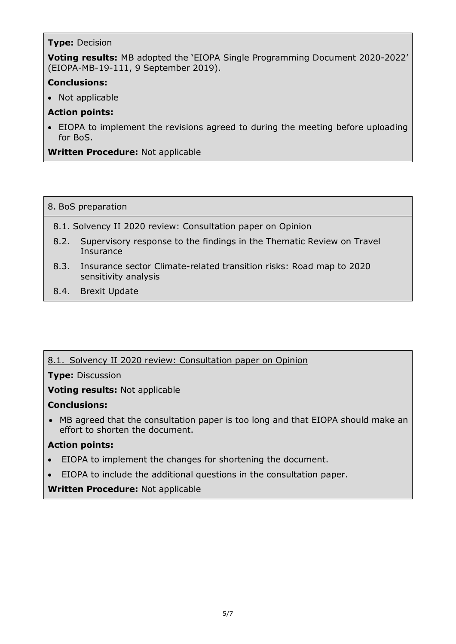### **Type:** Decision

**Voting results:** MB adopted the 'EIOPA Single Programming Document 2020-2022' (EIOPA-MB-19-111, 9 September 2019).

### **Conclusions:**

• Not applicable

### **Action points:**

 EIOPA to implement the revisions agreed to during the meeting before uploading for BoS.

**Written Procedure:** Not applicable

#### 8. BoS preparation

- 8.1. Solvency II 2020 review: Consultation paper on Opinion
- 8.2. Supervisory response to the findings in the Thematic Review on Travel **Insurance**
- 8.3. Insurance sector Climate-related transition risks: Road map to 2020 sensitivity analysis
- 8.4. Brexit Update

### 8.1. Solvency II 2020 review: Consultation paper on Opinion

**Type:** Discussion

**Voting results:** Not applicable

### **Conclusions:**

 MB agreed that the consultation paper is too long and that EIOPA should make an effort to shorten the document.

### **Action points:**

- EIOPA to implement the changes for shortening the document.
- EIOPA to include the additional questions in the consultation paper.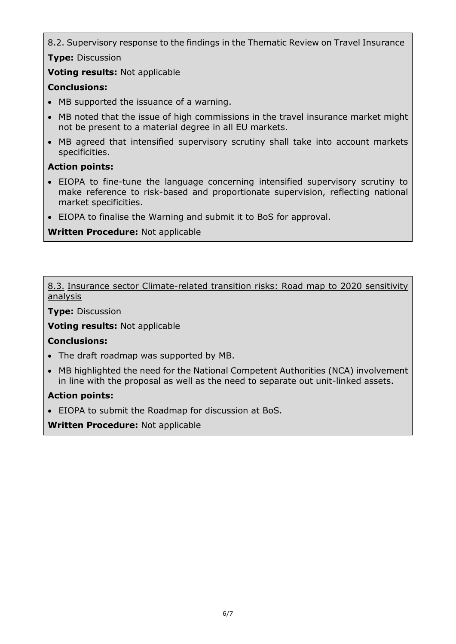8.2. Supervisory response to the findings in the Thematic Review on Travel Insurance

**Type:** Discussion

**Voting results:** Not applicable

## **Conclusions:**

- MB supported the issuance of a warning.
- MB noted that the issue of high commissions in the travel insurance market might not be present to a material degree in all EU markets.
- MB agreed that intensified supervisory scrutiny shall take into account markets specificities.

## **Action points:**

- EIOPA to fine-tune the language concerning intensified supervisory scrutiny to make reference to risk-based and proportionate supervision, reflecting national market specificities.
- EIOPA to finalise the Warning and submit it to BoS for approval.

# **Written Procedure:** Not applicable

8.3. Insurance sector Climate-related transition risks: Road map to 2020 sensitivity analysis

**Type:** Discussion

**Voting results:** Not applicable

### **Conclusions:**

- The draft roadmap was supported by MB.
- MB highlighted the need for the National Competent Authorities (NCA) involvement in line with the proposal as well as the need to separate out unit-linked assets.

### **Action points:**

EIOPA to submit the Roadmap for discussion at BoS.